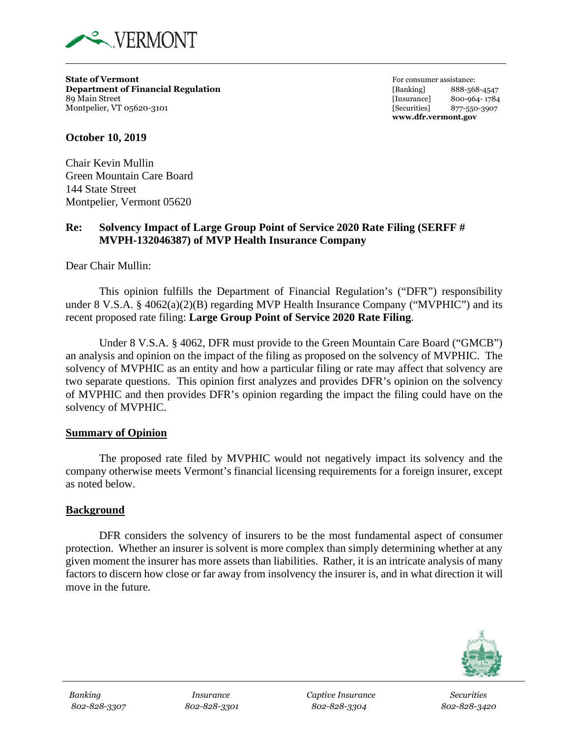

**State of Vermont**<br> **State of Vermont**<br> **Department of Financial Regulation**<br> **Example 1888-569**<br> **Example 1888-569**<br> **Example 1888-569 Department of Financial Regulation** [Banking] 888-568-4547 89 Main Street [Insurance] 800-964- 1784 Montpelier, VT 05620-3101 *Montpelier, VT 05620-3907 S77-550-3907* 

**www.dfr.vermont.gov**

#### **October 10, 2019**

Chair Kevin Mullin Green Mountain Care Board 144 State Street Montpelier, Vermont 05620

## **Re: Solvency Impact of Large Group Point of Service 2020 Rate Filing (SERFF # MVPH-132046387) of MVP Health Insurance Company**

Dear Chair Mullin:

This opinion fulfills the Department of Financial Regulation's ("DFR") responsibility under 8 V.S.A. § 4062(a)(2)(B) regarding MVP Health Insurance Company ("MVPHIC") and its recent proposed rate filing: **Large Group Point of Service 2020 Rate Filing**.

Under 8 V.S.A. § 4062, DFR must provide to the Green Mountain Care Board ("GMCB") an analysis and opinion on the impact of the filing as proposed on the solvency of MVPHIC. The solvency of MVPHIC as an entity and how a particular filing or rate may affect that solvency are two separate questions. This opinion first analyzes and provides DFR's opinion on the solvency of MVPHIC and then provides DFR's opinion regarding the impact the filing could have on the solvency of MVPHIC.

#### **Summary of Opinion**

The proposed rate filed by MVPHIC would not negatively impact its solvency and the company otherwise meets Vermont's financial licensing requirements for a foreign insurer, except as noted below.

#### **Background**

DFR considers the solvency of insurers to be the most fundamental aspect of consumer protection. Whether an insurer is solvent is more complex than simply determining whether at any given moment the insurer has more assets than liabilities. Rather, it is an intricate analysis of many factors to discern how close or far away from insolvency the insurer is, and in what direction it will move in the future.



*Banking Insurance Captive Insurance Securities 802-828-3307 802-828-3301 802-828-3304 802-828-3420*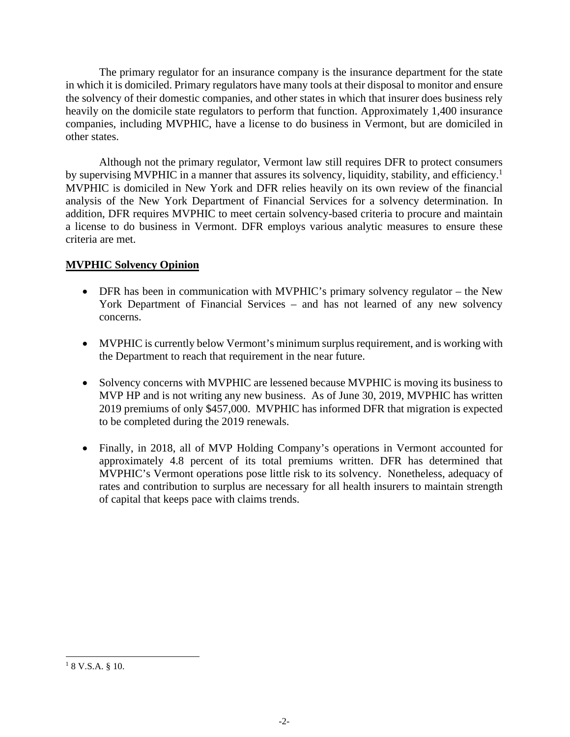The primary regulator for an insurance company is the insurance department for the state in which it is domiciled. Primary regulators have many tools at their disposal to monitor and ensure the solvency of their domestic companies, and other states in which that insurer does business rely heavily on the domicile state regulators to perform that function. Approximately 1,400 insurance companies, including MVPHIC, have a license to do business in Vermont, but are domiciled in other states.

Although not the primary regulator, Vermont law still requires DFR to protect consumers by supervising MVPHIC in a manner that assures its solvency, liquidity, stability, and efficiency.<sup>1</sup> MVPHIC is domiciled in New York and DFR relies heavily on its own review of the financial analysis of the New York Department of Financial Services for a solvency determination. In addition, DFR requires MVPHIC to meet certain solvency-based criteria to procure and maintain a license to do business in Vermont. DFR employs various analytic measures to ensure these criteria are met.

### **MVPHIC Solvency Opinion**

- DFR has been in communication with MVPHIC's primary solvency regulator the New York Department of Financial Services – and has not learned of any new solvency concerns.
- MVPHIC is currently below Vermont's minimum surplus requirement, and is working with the Department to reach that requirement in the near future.
- Solvency concerns with MVPHIC are lessened because MVPHIC is moving its business to MVP HP and is not writing any new business. As of June 30, 2019, MVPHIC has written 2019 premiums of only \$457,000. MVPHIC has informed DFR that migration is expected to be completed during the 2019 renewals.
- Finally, in 2018, all of MVP Holding Company's operations in Vermont accounted for approximately 4.8 percent of its total premiums written. DFR has determined that MVPHIC's Vermont operations pose little risk to its solvency. Nonetheless, adequacy of rates and contribution to surplus are necessary for all health insurers to maintain strength of capital that keeps pace with claims trends.

 $18$  V.S.A.  $8$  10.